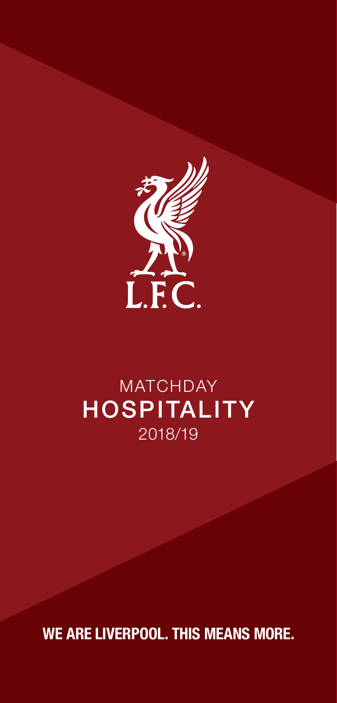

# **MATCHDAY** HOSPITALITY 2018/19

WE ARE LIVERPOOL. THIS MEANS MORE.